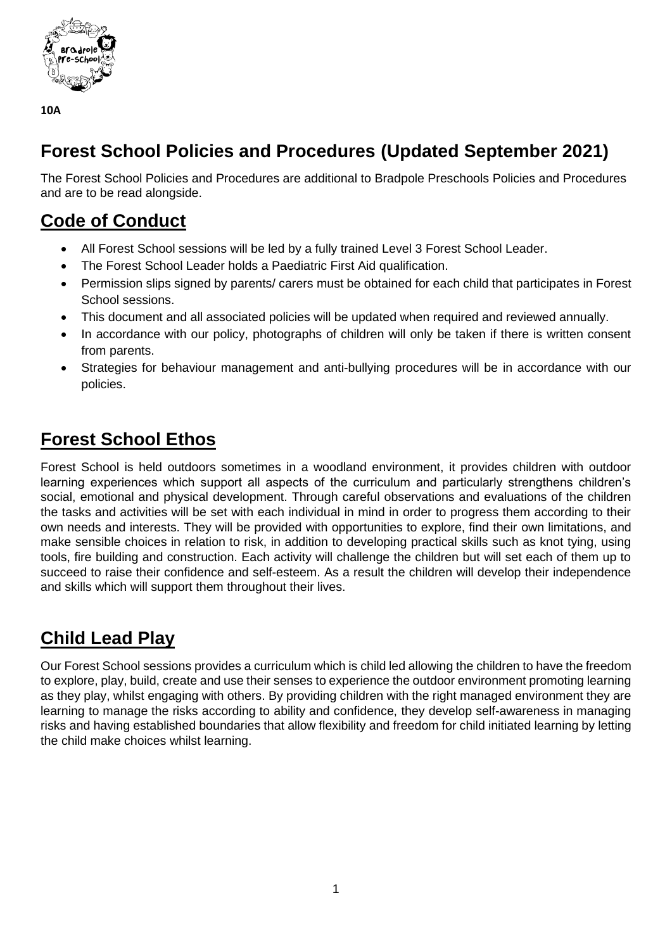

# **Forest School Policies and Procedures (Updated September 2021)**

The Forest School Policies and Procedures are additional to Bradpole Preschools Policies and Procedures and are to be read alongside.

# **Code of Conduct**

- All Forest School sessions will be led by a fully trained Level 3 Forest School Leader.
- The Forest School Leader holds a Paediatric First Aid qualification.
- Permission slips signed by parents/ carers must be obtained for each child that participates in Forest School sessions.
- This document and all associated policies will be updated when required and reviewed annually.
- In accordance with our policy, photographs of children will only be taken if there is written consent from parents.
- Strategies for behaviour management and anti-bullying procedures will be in accordance with our policies.

# **Forest School Ethos**

Forest School is held outdoors sometimes in a woodland environment, it provides children with outdoor learning experiences which support all aspects of the curriculum and particularly strengthens children's social, emotional and physical development. Through careful observations and evaluations of the children the tasks and activities will be set with each individual in mind in order to progress them according to their own needs and interests. They will be provided with opportunities to explore, find their own limitations, and make sensible choices in relation to risk, in addition to developing practical skills such as knot tying, using tools, fire building and construction. Each activity will challenge the children but will set each of them up to succeed to raise their confidence and self-esteem. As a result the children will develop their independence and skills which will support them throughout their lives.

# **Child Lead Play**

Our Forest School sessions provides a curriculum which is child led allowing the children to have the freedom to explore, play, build, create and use their senses to experience the outdoor environment promoting learning as they play, whilst engaging with others. By providing children with the right managed environment they are learning to manage the risks according to ability and confidence, they develop self-awareness in managing risks and having established boundaries that allow flexibility and freedom for child initiated learning by letting the child make choices whilst learning.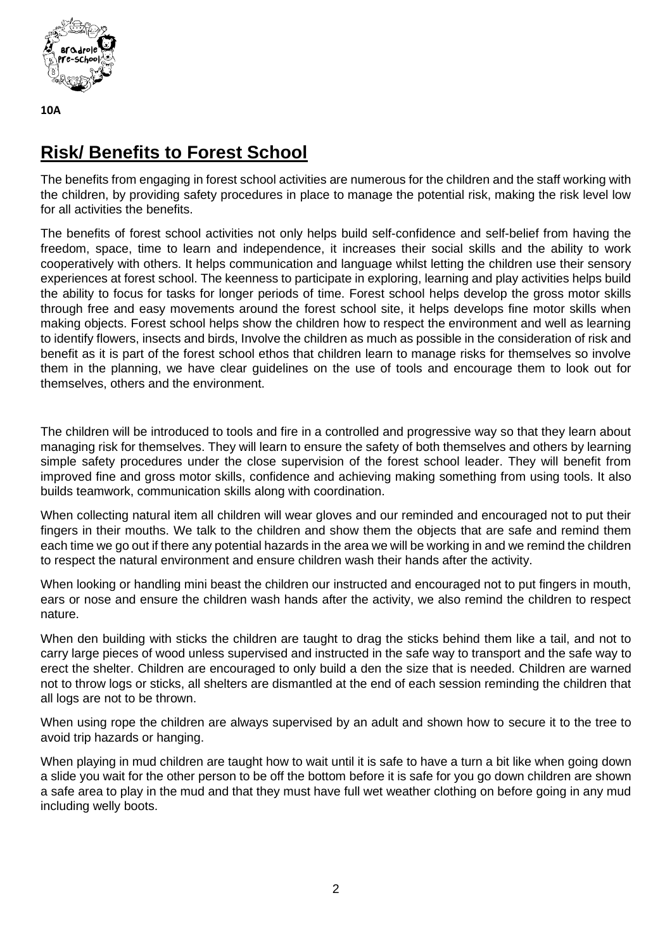

# **Risk/ Benefits to Forest School**

The benefits from engaging in forest school activities are numerous for the children and the staff working with the children, by providing safety procedures in place to manage the potential risk, making the risk level low for all activities the benefits.

The benefits of forest school activities not only helps build self-confidence and self-belief from having the freedom, space, time to learn and independence, it increases their social skills and the ability to work cooperatively with others. It helps communication and language whilst letting the children use their sensory experiences at forest school. The keenness to participate in exploring, learning and play activities helps build the ability to focus for tasks for longer periods of time. Forest school helps develop the gross motor skills through free and easy movements around the forest school site, it helps develops fine motor skills when making objects. Forest school helps show the children how to respect the environment and well as learning to identify flowers, insects and birds, Involve the children as much as possible in the consideration of risk and benefit as it is part of the forest school ethos that children learn to manage risks for themselves so involve them in the planning, we have clear guidelines on the use of tools and encourage them to look out for themselves, others and the environment.

The children will be introduced to tools and fire in a controlled and progressive way so that they learn about managing risk for themselves. They will learn to ensure the safety of both themselves and others by learning simple safety procedures under the close supervision of the forest school leader. They will benefit from improved fine and gross motor skills, confidence and achieving making something from using tools. It also builds teamwork, communication skills along with coordination.

When collecting natural item all children will wear gloves and our reminded and encouraged not to put their fingers in their mouths. We talk to the children and show them the objects that are safe and remind them each time we go out if there any potential hazards in the area we will be working in and we remind the children to respect the natural environment and ensure children wash their hands after the activity.

When looking or handling mini beast the children our instructed and encouraged not to put fingers in mouth, ears or nose and ensure the children wash hands after the activity, we also remind the children to respect nature.

When den building with sticks the children are taught to drag the sticks behind them like a tail, and not to carry large pieces of wood unless supervised and instructed in the safe way to transport and the safe way to erect the shelter. Children are encouraged to only build a den the size that is needed. Children are warned not to throw logs or sticks, all shelters are dismantled at the end of each session reminding the children that all logs are not to be thrown.

When using rope the children are always supervised by an adult and shown how to secure it to the tree to avoid trip hazards or hanging.

When playing in mud children are taught how to wait until it is safe to have a turn a bit like when going down a slide you wait for the other person to be off the bottom before it is safe for you go down children are shown a safe area to play in the mud and that they must have full wet weather clothing on before going in any mud including welly boots.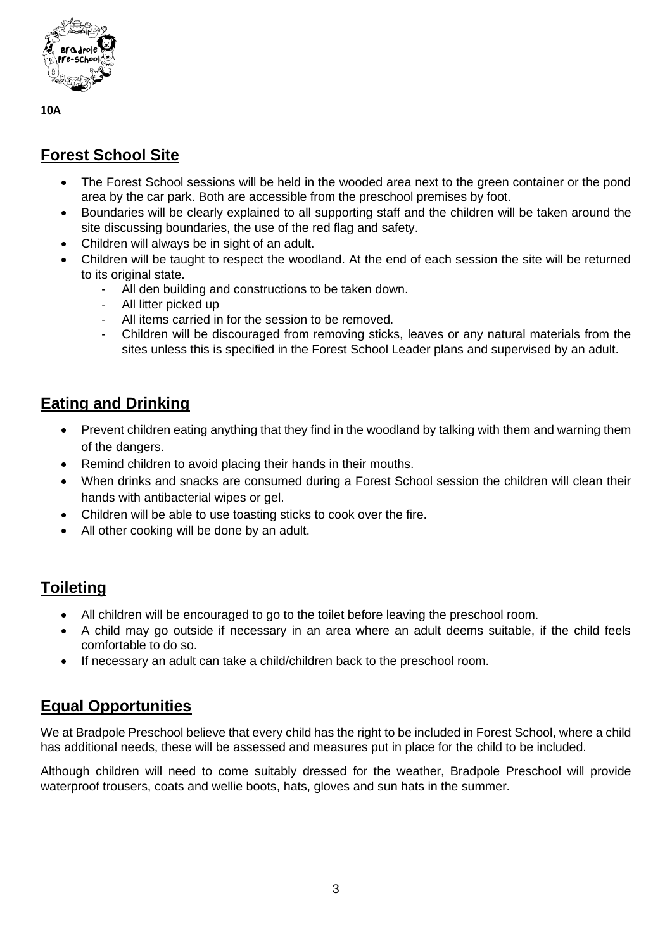

# **Forest School Site**

- The Forest School sessions will be held in the wooded area next to the green container or the pond area by the car park. Both are accessible from the preschool premises by foot.
- Boundaries will be clearly explained to all supporting staff and the children will be taken around the site discussing boundaries, the use of the red flag and safety.
- Children will always be in sight of an adult.
- Children will be taught to respect the woodland. At the end of each session the site will be returned to its original state.
	- All den building and constructions to be taken down.
	- All litter picked up
	- All items carried in for the session to be removed.
	- Children will be discouraged from removing sticks, leaves or any natural materials from the sites unless this is specified in the Forest School Leader plans and supervised by an adult.

# **Eating and Drinking**

- Prevent children eating anything that they find in the woodland by talking with them and warning them of the dangers.
- Remind children to avoid placing their hands in their mouths.
- When drinks and snacks are consumed during a Forest School session the children will clean their hands with antibacterial wipes or gel.
- Children will be able to use toasting sticks to cook over the fire.
- All other cooking will be done by an adult.

## **Toileting**

- All children will be encouraged to go to the toilet before leaving the preschool room.
- A child may go outside if necessary in an area where an adult deems suitable, if the child feels comfortable to do so.
- If necessary an adult can take a child/children back to the preschool room.

## **Equal Opportunities**

We at Bradpole Preschool believe that every child has the right to be included in Forest School, where a child has additional needs, these will be assessed and measures put in place for the child to be included.

Although children will need to come suitably dressed for the weather, Bradpole Preschool will provide waterproof trousers, coats and wellie boots, hats, gloves and sun hats in the summer.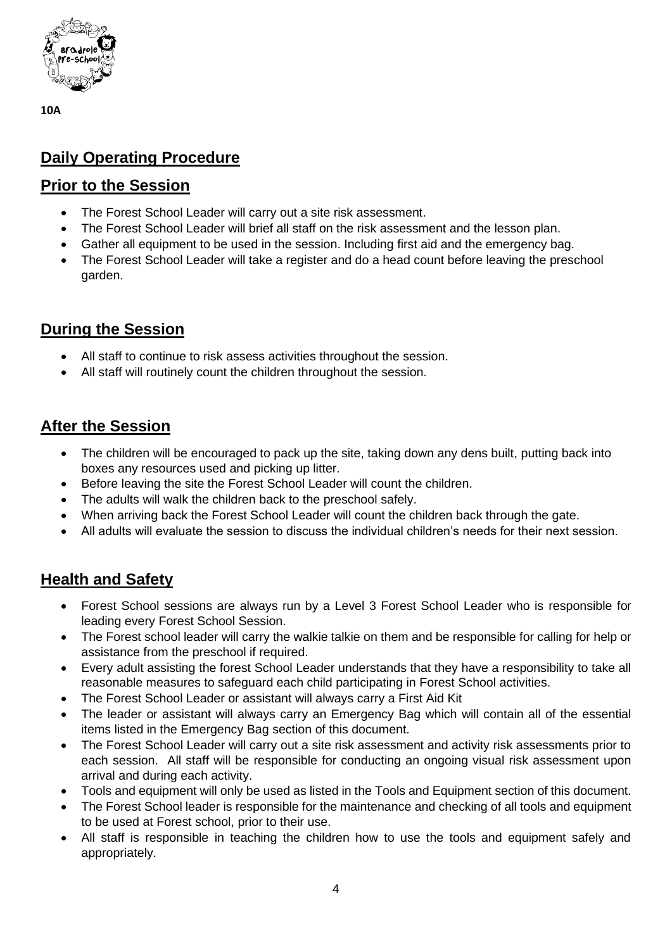

## **Daily Operating Procedure**

#### **Prior to the Session**

- The Forest School Leader will carry out a site risk assessment.
- The Forest School Leader will brief all staff on the risk assessment and the lesson plan.
- Gather all equipment to be used in the session. Including first aid and the emergency bag.
- The Forest School Leader will take a register and do a head count before leaving the preschool garden.

### **During the Session**

- All staff to continue to risk assess activities throughout the session.
- All staff will routinely count the children throughout the session.

#### **After the Session**

- The children will be encouraged to pack up the site, taking down any dens built, putting back into boxes any resources used and picking up litter.
- Before leaving the site the Forest School Leader will count the children.
- The adults will walk the children back to the preschool safely.
- When arriving back the Forest School Leader will count the children back through the gate.
- All adults will evaluate the session to discuss the individual children's needs for their next session.

### **Health and Safety**

- Forest School sessions are always run by a Level 3 Forest School Leader who is responsible for leading every Forest School Session.
- The Forest school leader will carry the walkie talkie on them and be responsible for calling for help or assistance from the preschool if required.
- Every adult assisting the forest School Leader understands that they have a responsibility to take all reasonable measures to safeguard each child participating in Forest School activities.
- The Forest School Leader or assistant will always carry a First Aid Kit
- The leader or assistant will always carry an Emergency Bag which will contain all of the essential items listed in the Emergency Bag section of this document.
- The Forest School Leader will carry out a site risk assessment and activity risk assessments prior to each session. All staff will be responsible for conducting an ongoing visual risk assessment upon arrival and during each activity.
- Tools and equipment will only be used as listed in the Tools and Equipment section of this document.
- The Forest School leader is responsible for the maintenance and checking of all tools and equipment to be used at Forest school, prior to their use.
- All staff is responsible in teaching the children how to use the tools and equipment safely and appropriately.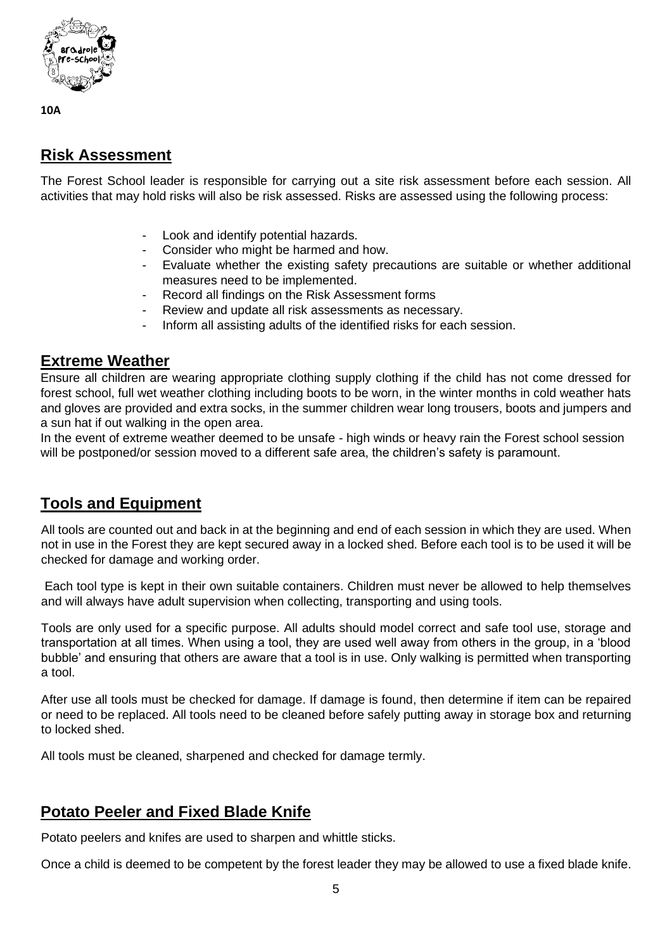

### **Risk Assessment**

The Forest School leader is responsible for carrying out a site risk assessment before each session. All activities that may hold risks will also be risk assessed. Risks are assessed using the following process:

- Look and identify potential hazards.
- Consider who might be harmed and how.
- Evaluate whether the existing safety precautions are suitable or whether additional measures need to be implemented.
- Record all findings on the Risk Assessment forms
- Review and update all risk assessments as necessary.
- Inform all assisting adults of the identified risks for each session.

#### **Extreme Weather**

Ensure all children are wearing appropriate clothing supply clothing if the child has not come dressed for forest school, full wet weather clothing including boots to be worn, in the winter months in cold weather hats and gloves are provided and extra socks, in the summer children wear long trousers, boots and jumpers and a sun hat if out walking in the open area.

In the event of extreme weather deemed to be unsafe - high winds or heavy rain the Forest school session will be postponed/or session moved to a different safe area, the children's safety is paramount.

### **Tools and Equipment**

All tools are counted out and back in at the beginning and end of each session in which they are used. When not in use in the Forest they are kept secured away in a locked shed. Before each tool is to be used it will be checked for damage and working order.

Each tool type is kept in their own suitable containers. Children must never be allowed to help themselves and will always have adult supervision when collecting, transporting and using tools.

Tools are only used for a specific purpose. All adults should model correct and safe tool use, storage and transportation at all times. When using a tool, they are used well away from others in the group, in a 'blood bubble' and ensuring that others are aware that a tool is in use. Only walking is permitted when transporting a tool.

After use all tools must be checked for damage. If damage is found, then determine if item can be repaired or need to be replaced. All tools need to be cleaned before safely putting away in storage box and returning to locked shed.

All tools must be cleaned, sharpened and checked for damage termly.

### **Potato Peeler and Fixed Blade Knife**

Potato peelers and knifes are used to sharpen and whittle sticks.

Once a child is deemed to be competent by the forest leader they may be allowed to use a fixed blade knife.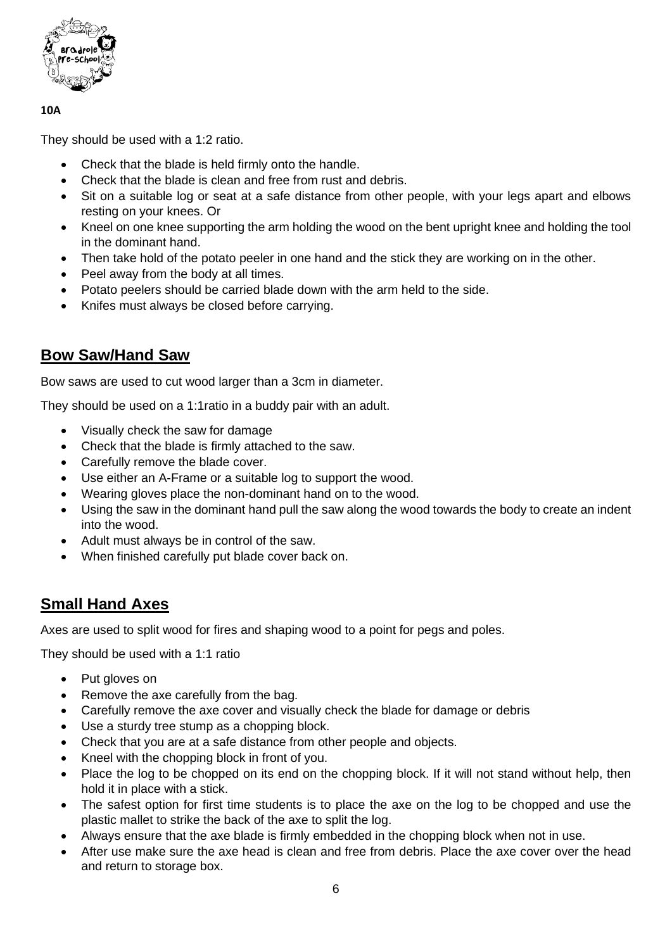

They should be used with a 1:2 ratio.

- Check that the blade is held firmly onto the handle.
- Check that the blade is clean and free from rust and debris.
- Sit on a suitable log or seat at a safe distance from other people, with your legs apart and elbows resting on your knees. Or
- Kneel on one knee supporting the arm holding the wood on the bent upright knee and holding the tool in the dominant hand.
- Then take hold of the potato peeler in one hand and the stick they are working on in the other.
- Peel away from the body at all times.
- Potato peelers should be carried blade down with the arm held to the side.
- Knifes must always be closed before carrying.

#### **Bow Saw/Hand Saw**

Bow saws are used to cut wood larger than a 3cm in diameter.

They should be used on a 1:1ratio in a buddy pair with an adult.

- Visually check the saw for damage
- Check that the blade is firmly attached to the saw.
- Carefully remove the blade cover.
- Use either an A-Frame or a suitable log to support the wood.
- Wearing gloves place the non-dominant hand on to the wood.
- Using the saw in the dominant hand pull the saw along the wood towards the body to create an indent into the wood.
- Adult must always be in control of the saw.
- When finished carefully put blade cover back on.

#### **Small Hand Axes**

Axes are used to split wood for fires and shaping wood to a point for pegs and poles.

They should be used with a 1:1 ratio

- Put gloves on
- Remove the axe carefully from the bag.
- Carefully remove the axe cover and visually check the blade for damage or debris
- Use a sturdy tree stump as a chopping block.
- Check that you are at a safe distance from other people and objects.
- Kneel with the chopping block in front of you.
- Place the log to be chopped on its end on the chopping block. If it will not stand without help, then hold it in place with a stick.
- The safest option for first time students is to place the axe on the log to be chopped and use the plastic mallet to strike the back of the axe to split the log.
- Always ensure that the axe blade is firmly embedded in the chopping block when not in use.
- After use make sure the axe head is clean and free from debris. Place the axe cover over the head and return to storage box.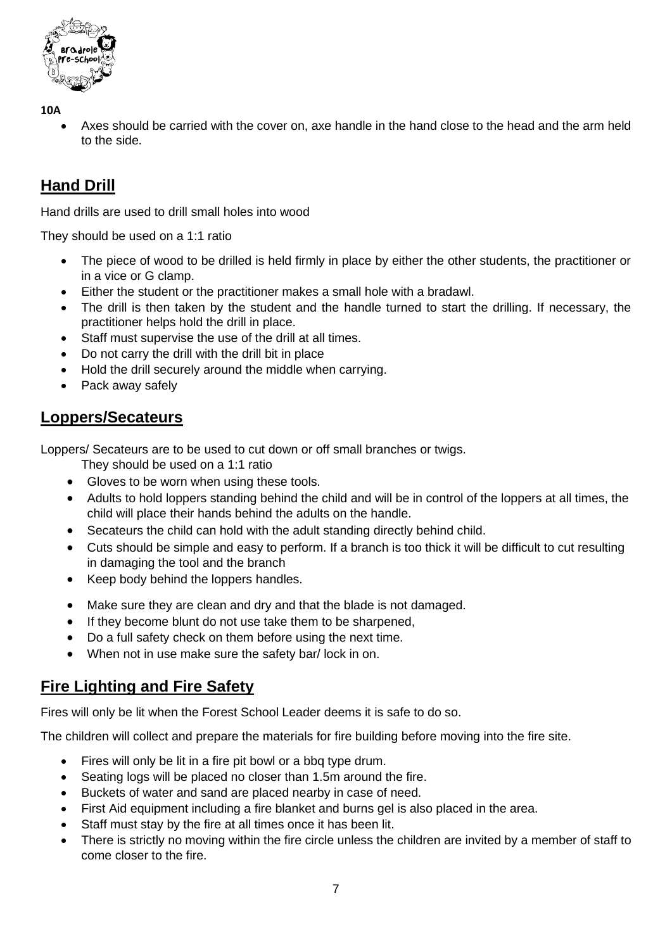

• Axes should be carried with the cover on, axe handle in the hand close to the head and the arm held to the side.

### **Hand Drill**

Hand drills are used to drill small holes into wood

They should be used on a 1:1 ratio

- The piece of wood to be drilled is held firmly in place by either the other students, the practitioner or in a vice or G clamp.
- Either the student or the practitioner makes a small hole with a bradawl.
- The drill is then taken by the student and the handle turned to start the drilling. If necessary, the practitioner helps hold the drill in place.
- Staff must supervise the use of the drill at all times.
- Do not carry the drill with the drill bit in place
- Hold the drill securely around the middle when carrying.
- Pack away safely

#### **Loppers/Secateurs**

Loppers/ Secateurs are to be used to cut down or off small branches or twigs.

They should be used on a 1:1 ratio

- Gloves to be worn when using these tools.
- Adults to hold loppers standing behind the child and will be in control of the loppers at all times, the child will place their hands behind the adults on the handle.
- Secateurs the child can hold with the adult standing directly behind child.
- Cuts should be simple and easy to perform. If a branch is too thick it will be difficult to cut resulting in damaging the tool and the branch
- Keep body behind the loppers handles.
- Make sure they are clean and dry and that the blade is not damaged.
- If they become blunt do not use take them to be sharpened,
- Do a full safety check on them before using the next time.
- When not in use make sure the safety bar/ lock in on.

#### **Fire Lighting and Fire Safety**

Fires will only be lit when the Forest School Leader deems it is safe to do so.

The children will collect and prepare the materials for fire building before moving into the fire site.

- Fires will only be lit in a fire pit bowl or a bbq type drum.
- Seating logs will be placed no closer than 1.5m around the fire.
- Buckets of water and sand are placed nearby in case of need.
- First Aid equipment including a fire blanket and burns gel is also placed in the area.
- Staff must stay by the fire at all times once it has been lit.
- There is strictly no moving within the fire circle unless the children are invited by a member of staff to come closer to the fire.